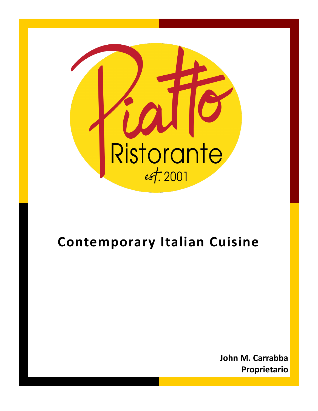

## **Contemporary Italian Cuisine**

**John M. Carrabba Proprietario**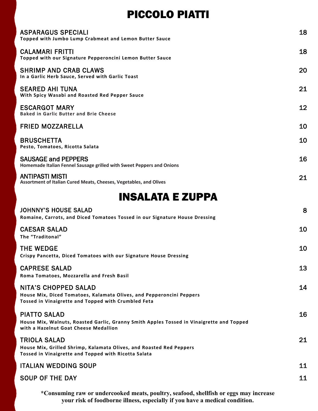## PICCOLO PIATTI

| <b>ASPARAGUS SPECIALI</b><br>Topped with Jumbo Lump Crabmeat and Lemon Butter Sauce                                                                        | 18 |
|------------------------------------------------------------------------------------------------------------------------------------------------------------|----|
| <b>CALAMARI FRITTI</b><br>Topped with our Signature Pepperoncini Lemon Butter Sauce                                                                        | 18 |
| <b>SHRIMP AND CRAB CLAWS</b><br>In a Garlic Herb Sauce, Served with Garlic Toast                                                                           | 20 |
| <b>SEARED AHI TUNA</b><br>With Spicy Wasabi and Roasted Red Pepper Sauce                                                                                   | 21 |
| <b>ESCARGOT MARY</b><br><b>Baked in Garlic Butter and Brie Cheese</b>                                                                                      | 12 |
| <b>FRIED MOZZARELLA</b>                                                                                                                                    | 10 |
| <b>BRUSCHETTA</b><br>Pesto, Tomatoes, Ricotta Salata                                                                                                       | 10 |
| <b>SAUSAGE and PEPPERS</b><br>Homemade Italian Fennel Sausage grilled with Sweet Peppers and Onions                                                        | 16 |
| <b>ANTIPASTI MISTI</b><br>Assortment of Italian Cured Meats, Cheeses, Vegetables, and Olives                                                               | 21 |
| <b>INSALATA E ZUPPA</b>                                                                                                                                    |    |
| <b>JOHNNY'S HOUSE SALAD</b><br>Romaine, Carrots, and Diced Tomatoes Tossed in our Signature House Dressing                                                 | 8  |
| <b>CAESAR SALAD</b><br>The "Traditonal"                                                                                                                    | 10 |
| <b>THE WEDGE</b><br>Crispy Pancetta, Diced Tomatoes with our Signature House Dressing                                                                      | 10 |
| <b>CAPRESE SALAD</b><br>Roma Tomatoes, Mozzarella and Fresh Basil                                                                                          | 13 |
| <b>NITA'S CHOPPED SALAD</b><br>House Mix, Diced Tomatoes, Kalamata Olives, and Pepperoncini Peppers<br>Tossed in Vinaigrette and Topped with Crumbled Feta | 14 |
| <b>PIATTO SALAD</b><br>House Mix, Walnuts, Roasted Garlic, Granny Smith Apples Tossed in Vinaigrette and Topped<br>with a Hazelnut Goat Cheese Medallion   | 16 |
| <b>TRIOLA SALAD</b><br>House Mix, Grilled Shrimp, Kalamata Olives, and Roasted Red Peppers<br>Tossed in Vinaigrette and Topped with Ricotta Salata         | 21 |
| <b>ITALIAN WEDDING SOUP</b>                                                                                                                                | 11 |

SOUP OF THE DAY 11

**\*Consuming raw or undercooked meats, poultry, seafood, shellfish or eggs may increase your risk of foodborne illness, especially if you have a medical condition.**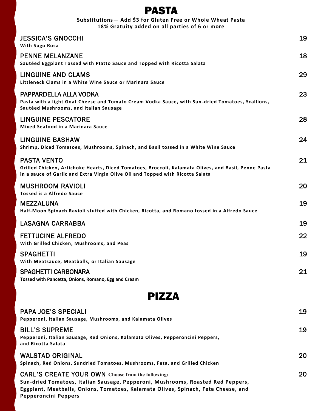| <b>PASTA</b>                                                                                                                                                                                                 |    |
|--------------------------------------------------------------------------------------------------------------------------------------------------------------------------------------------------------------|----|
| Substitutions- Add \$3 for Gluten Free or Whole Wheat Pasta<br>18% Gratuity added on all parties of 6 or more                                                                                                |    |
| <b>JESSICA'S GNOCCHI</b><br><b>With Sugo Rosa</b>                                                                                                                                                            | 19 |
| <b>PENNE MELANZANE</b><br>Sautéed Eggplant Tossed with Platto Sauce and Topped with Ricotta Salata                                                                                                           | 18 |
| <b>LINGUINE AND CLAMS</b><br>Littleneck Clams in a White Wine Sauce or Marinara Sauce                                                                                                                        | 29 |
| PAPPARDELLA ALLA VODKA<br>Pasta with a light Goat Cheese and Tomato Cream Vodka Sauce, with Sun-dried Tomatoes, Scallions,<br>Sautéed Mushrooms, and Italian Sausage                                         | 23 |
| <b>LINGUINE PESCATORE</b><br><b>Mixed Seafood in a Marinara Sauce</b>                                                                                                                                        | 28 |
| LINGUINE BASHAW<br>Shrimp, Diced Tomatoes, Mushrooms, Spinach, and Basil tossed in a White Wine Sauce                                                                                                        | 24 |
| <b>PASTA VENTO</b><br>Grilled Chicken, Artichoke Hearts, Diced Tomatoes, Broccoli, Kalamata Olives, and Basil, Penne Pasta<br>in a sauce of Garlic and Extra Virgin Olive Oil and Topped with Ricotta Salata | 21 |
| <b>MUSHROOM RAVIOLI</b><br><b>Tossed is a Alfredo Sauce</b>                                                                                                                                                  | 20 |
| <b>MEZZALUNA</b><br>Half-Moon Spinach Ravioli stuffed with Chicken, Ricotta, and Romano tossed in a Alfredo Sauce                                                                                            | 19 |
| <b>LASAGNA CARRABBA</b>                                                                                                                                                                                      | 19 |
| <b>FETTUCINE ALFREDO</b><br>With Grilled Chicken, Mushrooms, and Peas                                                                                                                                        | 22 |
| <b>SPAGHETTI</b><br>With Meatsauce, Meatballs, or Italian Sausage                                                                                                                                            | 19 |
| <b>SPAGHETTI CARBONARA</b><br>Tossed with Pancetta, Onions, Romano, Egg and Cream                                                                                                                            | 21 |
| <b>DI77A</b>                                                                                                                                                                                                 |    |



| <b>PAPA JOE'S SPECIALI</b><br>Pepperoni, Italian Sausage, Mushrooms, and Kalamata Olives                                                                                                                                                                 | 19 |
|----------------------------------------------------------------------------------------------------------------------------------------------------------------------------------------------------------------------------------------------------------|----|
| <b>BILL'S SUPREME</b><br>Pepperoni, Italian Sausage, Red Onions, Kalamata Olives, Pepperoncini Peppers,<br>and Ricotta Salata                                                                                                                            | 19 |
| <b>WALSTAD ORIGINAL</b><br>Spinach, Red Onions, Sundried Tomatoes, Mushrooms, Feta, and Grilled Chicken                                                                                                                                                  | 20 |
| <b>CARL'S CREATE YOUR OWN Choose from the following:</b><br>Sun-dried Tomatoes, Italian Sausage, Pepperoni, Mushrooms, Roasted Red Peppers,<br>Eggplant, Meatballs, Onions, Tomatoes, Kalamata Olives, Spinach, Feta Cheese, and<br>Pepperoncini Peppers | 20 |